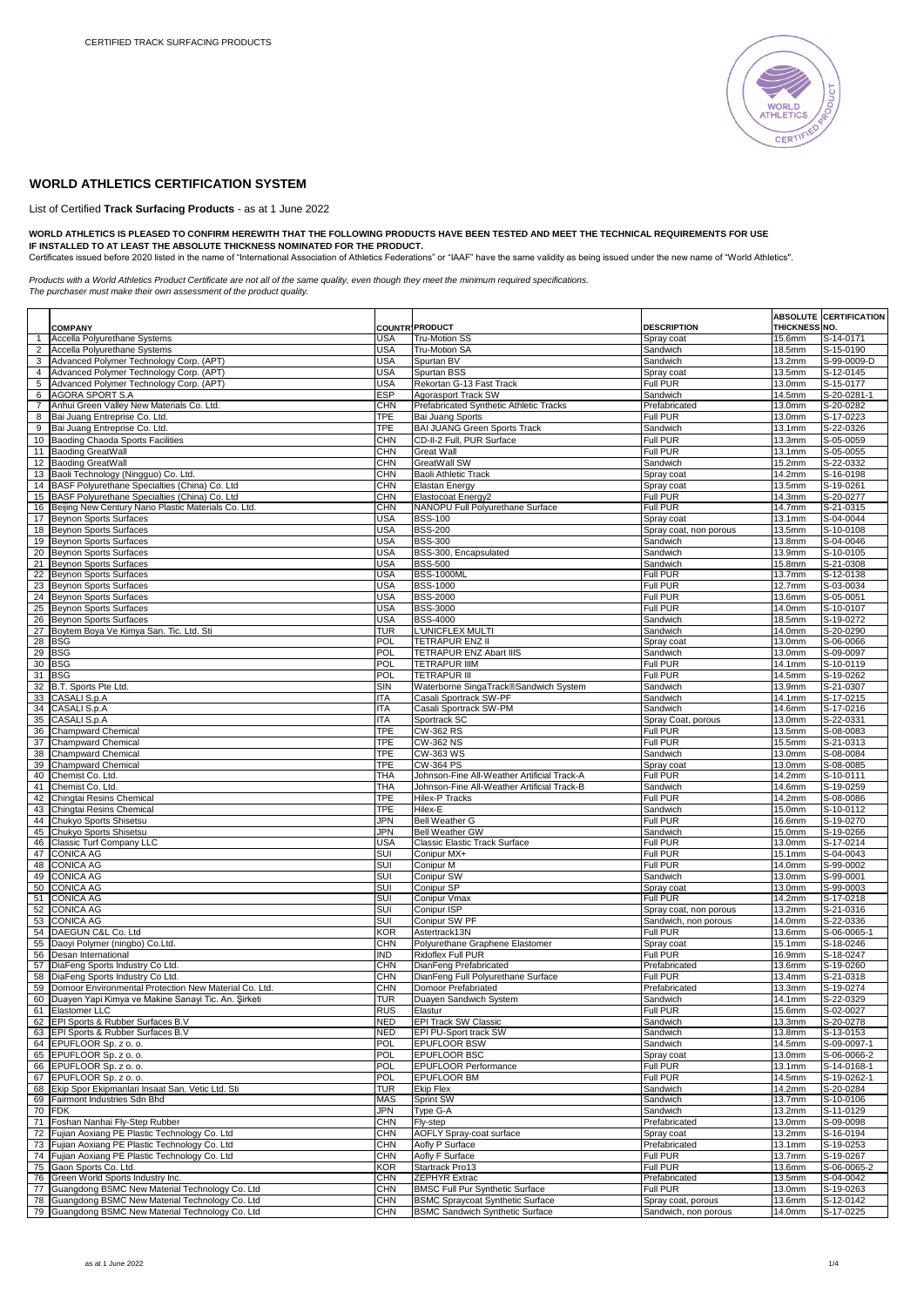

## **WORLD ATHLETICS CERTIFICATION SYSTEM**

List of Certified **Track Surfacing Products** - as at 1 June 2022

## WORLD ATHLETICS IS PLEASED TO CONFIRM HEREWITH THAT THE FOLLOWING PRODUCTS HAVE BEEN TESTED AND MEET THE TECHNICAL REQUIREMENTS FOR USE<br>IF INSTALLED TO AT LEAST THE ABSOLUTE THICKNESS NOMINATED FOR THE PRODUCT.<br>Certificate

*Products with a World Athletics Product Certificate are not all of the same quality, even though they meet the minimum required specifications. The purchaser must make their own assessment of the product quality.*

|                     |                                                                                                        |                          |                                                                                   |                                            |                      | <b>ABSOLUTE CERTIFICATION</b> |
|---------------------|--------------------------------------------------------------------------------------------------------|--------------------------|-----------------------------------------------------------------------------------|--------------------------------------------|----------------------|-------------------------------|
|                     | <b>COMPANY</b>                                                                                         |                          | <b>COUNTR' PRODUCT</b>                                                            | <b>DESCRIPTION</b>                         | <b>THICKNESS NO.</b> |                               |
| 1                   | Accella Polyurethane Systems                                                                           | USA                      | Tru-Motion SS                                                                     | Spray coat                                 | 15.6mm               | S-14-0171                     |
| 2<br>3 <sup>1</sup> | Accella Polyurethane Systems<br>Advanced Polymer Technology Corp. (APT)                                | <b>USA</b><br><b>USA</b> | Tru-Motion SA<br>Spurtan BV                                                       | Sandwich<br>Sandwich                       | 18.5mm<br>13.2mm     | S-15-0190<br>S-99-0009-D      |
| $\overline{4}$      | Advanced Polymer Technology Corp. (APT)                                                                | <b>USA</b>               | Spurtan BSS                                                                       | Spray coat                                 | 13.5mm               | S-12-0145                     |
| 5                   | Advanced Polymer Technology Corp. (APT)                                                                | USA                      | Rekortan G-13 Fast Track                                                          | Full PUR                                   | 13.0mm               | S-15-0177                     |
| 6                   | AGORA SPORT S.A                                                                                        | <b>ESP</b>               | Agorasport Track SW                                                               | Sandwich                                   | 14.5mm               | S-20-0281-1                   |
| $\overline{7}$      | Anhui Green Valley New Materials Co. Ltd.                                                              | <b>CHN</b>               | Prefabricated Synthetic Athletic Tracks                                           | Prefabricated                              | 13.0mm               | S-20-0282                     |
| 8                   | Bai Juang Entreprise Co. Ltd.                                                                          | TPE                      | Bai Juang Sports                                                                  | <b>Full PUR</b>                            | 13.0mm               | S-17-0223                     |
| 9                   | Bai Juang Entreprise Co. Ltd                                                                           | TPE                      | <b>BAI JUANG Green Sports Track</b>                                               | Sandwich                                   | 13.1mm               | S-22-0326                     |
| 10 <sup>1</sup>     | Baoding Chaoda Sports Facilities                                                                       | <b>CHN</b>               | CD-II-2 Full, PUR Surface                                                         | Full PUR                                   | 13.3mm               | S-05-0059                     |
| 11                  | <b>Baoding GreatWall</b>                                                                               | CHN                      | <b>Great Wall</b>                                                                 | Full PUR                                   | 13.1mm               | S-05-0055                     |
|                     | 12 Baoding GreatWall                                                                                   | CHN                      | GreatWall SW                                                                      | Sandwich                                   | 15.2mm               | S-22-0332                     |
| 13 <sup>1</sup>     | Baoli Technology (Ningguo) Co. Ltd.                                                                    | <b>CHN</b>               | Baoli Athletic Track                                                              | Spray coat                                 | 14.2mm               | S-16-0198                     |
|                     | 14 BASF Polyurethane Specialties (China) Co. Ltd                                                       | CHN                      | <b>Elastan Energy</b>                                                             | Spray coat                                 | 13.5mm               | S-19-0261                     |
|                     | 15 BASF Polyurethane Specialties (China) Co. Ltd                                                       | <b>CHN</b>               | Elastocoat Energy2                                                                | Full PUR                                   | 14.3mm               | S-20-0277                     |
| 16                  | Beijing New Century Nano Plastic Materials Co. Ltd.                                                    | CHN                      | NANOPU Full Polyurethane Surface                                                  | Full PUR                                   | 14.7mm               | S-21-0315                     |
|                     | 17 Beynon Sports Surfaces                                                                              | <b>USA</b>               | <b>BSS-100</b>                                                                    | Spray coat                                 | 13.1mm               | S-04-0044                     |
| 18                  | <b>Beynon Sports Surfaces</b>                                                                          | USA                      | <b>BSS-200</b>                                                                    | Spray coat, non porous                     | 13.5mm               | S-10-0108                     |
| 19                  | <b>Beynon Sports Surfaces</b>                                                                          | <b>USA</b>               | <b>BSS-300</b>                                                                    | Sandwich                                   | 13.8mm               | S-04-0046                     |
| 20<br>21            | <b>Beynon Sports Surfaces</b><br><b>Beynon Sports Surfaces</b>                                         | USA<br><b>USA</b>        | BSS-300, Encapsulated<br><b>BSS-500</b>                                           | Sandwich<br>Sandwich                       | 13.9mm<br>15.8mm     | S-10-0105<br>S-21-0308        |
| 22                  | Beynon Sports Surfaces                                                                                 | <b>USA</b>               | <b>BSS-1000ML</b>                                                                 | Full PUR                                   | 13.7mm               | S-12-0138                     |
| 23                  | <b>Beynon Sports Surfaces</b>                                                                          | <b>USA</b>               | <b>BSS-1000</b>                                                                   | Full PUR                                   | 12.7mm               | S-03-0034                     |
| 24                  | <b>Beynon Sports Surfaces</b>                                                                          | USA                      | <b>BSS-2000</b>                                                                   | Full PUR                                   | 13.6mm               | S-05-0051                     |
| 25                  | <b>Beynon Sports Surfaces</b>                                                                          | USA                      | <b>BSS-3000</b>                                                                   | Full PUR                                   | 14.0mm               | S-10-0107                     |
| 26                  | <b>Beynon Sports Surfaces</b>                                                                          | <b>USA</b>               | <b>BSS-4000</b>                                                                   | Sandwich                                   | 18.5mm               | S-19-0272                     |
| 27                  | Boytem Boya Ve Kimya San. Tic. Ltd. Sti                                                                | TUR                      | L'UNICFLEX MULTI                                                                  | Sandwich                                   | 14.0mm               | S-20-0290                     |
| 28                  | <b>BSG</b>                                                                                             | POL                      | TETRAPUR ENZ II                                                                   | Spray coat                                 | 13.0mm               | S-06-0066                     |
| 29                  | <b>BSG</b>                                                                                             | POL                      | <b>TETRAPUR ENZ Abart IIIS</b>                                                    | Sandwich                                   | 13.0mm               | S-09-0097                     |
| 30                  | <b>BSG</b>                                                                                             | <b>POL</b>               | <b>TETRAPUR IIIM</b>                                                              | Full PUR                                   | 14.1mm               | S-10-0119                     |
| 31                  | <b>BSG</b>                                                                                             | <b>POL</b>               | <b>TETRAPUR III</b>                                                               | Full PUR                                   | 14.5mm               | S-19-0262                     |
|                     | 32 B.T. Sports Pte Ltd.                                                                                | <b>SIN</b>               | Waterborne SingaTrack®Sandwich System                                             | Sandwich                                   | 13.9mm               | S-21-0307                     |
|                     | 33 CASALI S.p.A                                                                                        | ITA                      | Casali Sportrack SW-PF                                                            | Sandwich                                   | 14.1mm               | S-17-0215                     |
|                     | 34 CASALI S.p.A<br>35 CASALI S.p.A                                                                     | <b>ITA</b><br>ITA        | Casali Sportrack SW-PM                                                            | Sandwich                                   | 14.6mm               | S-17-0216<br>S-22-0331        |
|                     | 36 Champward Chemical                                                                                  | <b>TPE</b>               | Sportrack SC<br>CW-362 RS                                                         | Spray Coat, porous<br>Full PUR             | 13.0mm<br>13.5mm     | S-08-0083                     |
|                     | 37 Champward Chemical                                                                                  | <b>TPE</b>               | <b>CW-362 NS</b>                                                                  | Full PUR                                   | 15.5mm               | S-21-0313                     |
|                     | 38 Champward Chemical                                                                                  | TPE                      | CW-363 WS                                                                         | Sandwich                                   | 13.0 <sub>mm</sub>   | S-08-0084                     |
| 39                  | <b>Champward Chemical</b>                                                                              | TPE                      | <b>CW-364 PS</b>                                                                  | Spray coat                                 | 13.0mm               | S-08-0085                     |
|                     | 40 Chemist Co. Ltd.                                                                                    | THA                      | Johnson-Fine All-Weather Artificial Track-A                                       | Full PUR                                   | 14.2mm               | S-10-0111                     |
| 41                  | Chemist Co. Ltd.                                                                                       | THA                      | Johnson-Fine All-Weather Artificial Track-B                                       | Sandwich                                   | 14.6mm               | S-19-0259                     |
| 42                  | Chingtai Resins Chemical                                                                               | TPE                      | Hilex-P Tracks                                                                    | Full PUR                                   | 14.2mm               | S-08-0086                     |
| 43                  | Chingtai Resins Chemical                                                                               | TPE                      | Hilex-E                                                                           | Sandwich                                   | 15.0mm               | S-10-0112                     |
| 44                  | Chukyo Sports Shisetsu                                                                                 | JPN                      | Bell Weather G                                                                    | Full PUR                                   | 16.6mm               | S-19-0270                     |
| 45                  | Chukyo Sports Shisetsu                                                                                 | <b>JPN</b>               | <b>Bell Weather GW</b>                                                            | Sandwich                                   | 15.0mm               | S-19-0266                     |
|                     | 46 Classic Turf Company LLC                                                                            | <b>USA</b>               | Classic Elastic Track Surface                                                     | Full PUR                                   | 13.0mm               | S-17-0214                     |
|                     | 47 CONICA AG                                                                                           | SUI                      | Conipur MX+                                                                       | Full PUR                                   | 15.1mm               | S-04-0043                     |
|                     | 48 CONICA AG                                                                                           | <b>SUI</b>               | Conipur M                                                                         | Full PUR                                   | 14.0mm               | S-99-0002                     |
| 49<br>50            | <b>CONICA AG</b><br><b>CONICA AG</b>                                                                   | SUI<br>SUI               | Conipur SW<br>Conipur SP                                                          | Sandwich                                   | 13.0mm<br>13.0mm     | S-99-0001<br>S-99-0003        |
| 51                  | <b>CONICA AG</b>                                                                                       | SUI                      | Conipur Vmax                                                                      | Spray coat<br>Full PUR                     | 14.2mm               | S-17-0218                     |
|                     | 52 CONICA AG                                                                                           | SUI                      | Conipur ISP                                                                       | Spray coat, non porous                     | 13.2mm               | S-21-0316                     |
|                     | 53 CONICA AG                                                                                           | <b>SUI</b>               | Conipur SW PF                                                                     | Sandwich, non porous                       | 14.0mm               | S-22-0336                     |
| 54                  | DAEGUN C&L Co. Ltd                                                                                     | KOR                      | Astertrack13N                                                                     | Full PUR                                   | 13.6mm               | S-06-0065-1                   |
| 55                  | Daoyi Polymer (ningbo) Co.Ltd.                                                                         | <b>CHN</b>               | Polyurethane Graphene Elastomer                                                   | Spray coat                                 | 15.1mm               | S-18-0246                     |
| 56                  | Desan International                                                                                    | <b>IND</b>               | Ridoflex Full PUR                                                                 | Full PUR                                   | 16.9mm               | S-18-0247                     |
|                     | 57   DiaFeng Sports Industry Co Ltd.                                                                   | <b>CHN</b>               | DianFeng Prefabricated                                                            | Prefabricated                              | 13.6mm               | S-19-0260                     |
| 58                  | DiaFeng Sports Industry Co Ltd.                                                                        | <b>CHN</b>               | DianFeng Full Polyurethane Surface                                                | Full PUR                                   | 13.4mm               | S-21-0318                     |
| 59                  | Domoor Environmental Protection New Material Co. Ltd.                                                  | CHN                      | Domoor Prefabriated                                                               | Prefabricated                              | 13.3mm               | S-19-0274                     |
|                     | 60 Duayen Yapi Kimya ve Makine Sanayi Tic. An. Şirketi                                                 | TUR                      | Duayen Sandwich System                                                            | Sandwich                                   | 14.1mm               | S-22-0329                     |
|                     | 61 Elastomer LLC                                                                                       | <b>RUS</b>               | Elastur                                                                           | Full PUR                                   | 15.6mm               | S-02-0027                     |
|                     | 62 EPI Sports & Rubber Surfaces B.V                                                                    | <b>NED</b>               | EPI Track SW Classic                                                              | Sandwich                                   | 13.3mm               | S-20-0278                     |
|                     | 63 EPI Sports & Rubber Surfaces B.V                                                                    | <b>NED</b><br><b>POL</b> | EPI PU-Sport track SW                                                             | Sandwich                                   | 13.8mm               | S-13-0153                     |
|                     | 64 EPUFLOOR Sp. z o. o.<br>65 EPUFLOOR Sp. z o. o.                                                     | <b>POL</b>               | <b>EPUFLOOR BSW</b><br>EPUFLOOR BSC                                               | Sandwich<br>Spray coat                     | 14.5mm<br>13.0mm     | S-09-0097-1<br>S-06-0066-2    |
|                     | 66 EPUFLOOR Sp. z o. o.                                                                                | <b>POL</b>               | EPUFLOOR Performance                                                              | Full PUR                                   | 13.1mm               | S-14-0168-1                   |
|                     | 67 EPUFLOOR Sp. z o. o.                                                                                | <b>POL</b>               | EPUFLOOR BM                                                                       | Full PUR                                   | 14.5mm               | S-19-0262-1                   |
| 68                  | Ekip Spor Ekipmanlari Insaat San. Vetic Ltd. Sti                                                       | TUR                      | Ekip Flex                                                                         | Sandwich                                   | 14.2mm               | S-20-0284                     |
|                     | 69 Fairmont Industries Sdn Bhd                                                                         | <b>MAS</b>               | Sprint SW                                                                         | Sandwich                                   | 13.7mm               | S-10-0106                     |
|                     | 70 FDK                                                                                                 | <b>JPN</b>               | Type G-A                                                                          | Sandwich                                   | 13.2mm               | S-11-0129                     |
| 71                  | Foshan Nanhai Fly-Step Rubber                                                                          | CHN                      | Fly-step                                                                          | Prefabricated                              | 13.0mm               | S-09-0098                     |
|                     | 72 Fujian Aoxiang PE Plastic Technology Co. Ltd                                                        | <b>CHN</b>               | AOFLY Spray-coat surface                                                          | Spray coat                                 | 13.2mm               | S-16-0194                     |
|                     | 73 Fujian Aoxiang PE Plastic Technology Co. Ltd                                                        | <b>CHN</b>               | Aofly P Surface                                                                   | Prefabricated                              | 13.1mm               | S-19-0253                     |
|                     | 74 Fujian Aoxiang PE Plastic Technology Co. Ltd                                                        | CHN                      | Aofly F Surface                                                                   | <b>Full PUR</b>                            | 13.7 <sub>mm</sub>   | S-19-0267                     |
| 75                  | Gaon Sports Co. Ltd.                                                                                   | KOR                      | Startrack Pro13                                                                   | <b>Full PUR</b>                            | 13.6mm               | S-06-0065-2                   |
| 76                  | Green World Sports Industry Inc.                                                                       | CHN                      | ZEPHYR Extrac                                                                     | Prefabricated                              | 13.5mm               | S-04-0042                     |
|                     | 77 Guangdong BSMC New Material Technology Co. Ltd                                                      | <b>CHN</b>               | <b>BMSC Full Pur Synthetic Surface</b>                                            | Full PUR                                   | 13.0mm               | S-19-0263                     |
|                     | 78 Guangdong BSMC New Material Technology Co. Ltd<br>79 Guangdong BSMC New Material Technology Co. Ltd | <b>CHN</b><br><b>CHN</b> | <b>BSMC Spraycoat Synthetic Surface</b><br><b>BSMC Sandwich Synthetic Surface</b> | Spray coat, porous<br>Sandwich, non porous | 13.6mm<br>14.0mm     | S-12-0142<br>S-17-0225        |
|                     |                                                                                                        |                          |                                                                                   |                                            |                      |                               |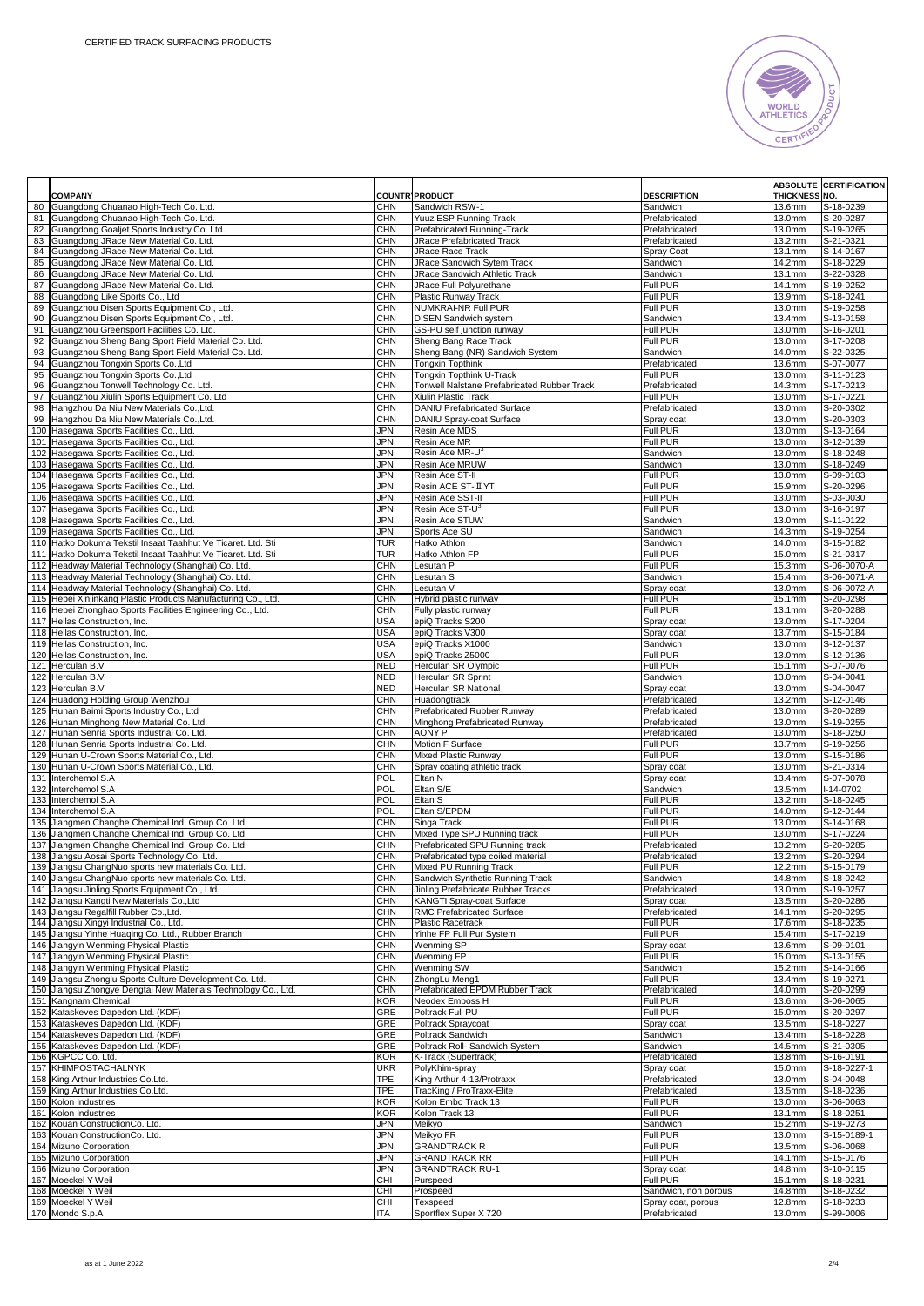

|          | <b>COMPANY</b>                                                                                           |                          | <b>COUNTR' PRODUCT</b>                                                | <b>DESCRIPTION</b>             | <b>THICKNESS NO.</b> | <b>ABSOLUTE CERTIFICATION</b> |
|----------|----------------------------------------------------------------------------------------------------------|--------------------------|-----------------------------------------------------------------------|--------------------------------|----------------------|-------------------------------|
|          | 80 Guangdong Chuanao High-Tech Co. Ltd.                                                                  | <b>CHN</b>               | Sandwich RSW-1                                                        | Sandwich                       | 13.6mm               | S-18-0239                     |
|          | 81 Guangdong Chuanao High-Tech Co. Ltd.                                                                  | <b>CHN</b>               | Yuuz ESP Running Track                                                | Prefabricated                  | 13.0mm               | S-20-0287                     |
| 82       | Guangdong Goaljet Sports Industry Co. Ltd.                                                               | <b>CHN</b>               | Prefabricated Running-Track                                           | Prefabricated                  | 13.0mm               | S-19-0265                     |
| 83       | Guangdong JRace New Material Co. Ltd.                                                                    | <b>CHN</b>               | JRace Prefabricated Track                                             | Prefabricated                  | 13.2mm               | S-21-0321                     |
|          | 84 Guangdong JRace New Material Co. Ltd.<br>85 Guangdong JRace New Material Co. Ltd.                     | <b>CHN</b><br><b>CHN</b> | JRace Race Track<br>JRace Sandwich Sytem Track                        | Spray Coat<br>Sandwich         | 13.1mm<br>14.2mm     | S-14-0167<br>S-18-0229        |
|          | 86 Guangdong JRace New Material Co. Ltd.                                                                 | <b>CHN</b>               | JRace Sandwich Athletic Track                                         | Sandwich                       | 13.1mm               | S-22-0328                     |
| 87       | Guangdong JRace New Material Co. Ltd.                                                                    | <b>CHN</b>               | JRace Full Polyurethane                                               | Full PUR                       | 14.1mm               | S-19-0252                     |
| 88       | Guangdong Like Sports Co., Ltd                                                                           | <b>CHN</b>               | Plastic Runway Track                                                  | <b>Full PUR</b>                | 13.9mm               | S-18-0241                     |
|          | 89 Guangzhou Disen Sports Equipment Co., Ltd.                                                            | <b>CHN</b>               | NUMKRAI-NR Full PUR                                                   | Full PUR                       | 13.0mm               | S-19-0258                     |
|          | 90 Guangzhou Disen Sports Equipment Co., Ltd.                                                            | <b>CHN</b>               | <b>DISEN Sandwich system</b>                                          | Sandwich                       | 13.4mm               | S-13-0158                     |
|          | 91 Guangzhou Greensport Facilities Co. Ltd.                                                              | <b>CHN</b>               | GS-PU self junction runway                                            | Full PUR                       | 13.0mm               | S-16-0201                     |
| 92<br>93 | Guangzhou Sheng Bang Sport Field Material Co. Ltd.<br>Guangzhou Sheng Bang Sport Field Material Co. Ltd. | <b>CHN</b><br><b>CHN</b> | Sheng Bang Race Track<br>Sheng Bang (NR) Sandwich System              | Full PUR<br>Sandwich           | 13.0mm<br>14.0mm     | S-17-0208<br>S-22-0325        |
|          | 94 Guangzhou Tongxin Sports Co., Ltd                                                                     | <b>CHN</b>               | <b>Tongxin Topthink</b>                                               | Prefabricated                  | 13.6mm               | S-07-0077                     |
|          | 95 Guangzhou Tongxin Sports Co., Ltd                                                                     | <b>CHN</b>               | Tongxin Topthink U-Track                                              | Full PUR                       | 13.0mm               | S-11-0123                     |
|          | 96 Guangzhou Tonwell Technology Co. Ltd.                                                                 | <b>CHN</b>               | Tonwell Nalstane Prefabricated Rubber Track                           | Prefabricated                  | 14.3mm               | S-17-0213                     |
| 97       | Guangzhou Xiulin Sports Equipment Co. Ltd                                                                | <b>CHN</b>               | Xiulin Plastic Track                                                  | Full PUR                       | 13.0mm               | S-17-0221                     |
| 98       | Hangzhou Da Niu New Materials Co., Ltd.                                                                  | CHN                      | DANIU Prefabricated Surface                                           | Prefabricated                  | 13.0mm               | S-20-0302                     |
|          | 99 Hangzhou Da Niu New Materials Co., Ltd.                                                               | <b>CHN</b><br><b>JPN</b> | DANIU Spray-coat Surface                                              | Spray coat                     | 13.0mm               | S-20-0303                     |
|          | 100 Hasegawa Sports Facilities Co., Ltd.<br>101 Hasegawa Sports Facilities Co., Ltd.                     | <b>JPN</b>               | Resin Ace MDS<br>Resin Ace MR                                         | Full PUR<br>Full PUR           | 13.0mm<br>13.0mm     | S-13-0164<br>S-12-0139        |
|          | 102 Hasegawa Sports Facilities Co., Ltd.                                                                 | <b>JPN</b>               | Resin Ace MR-U <sup>®</sup>                                           | Sandwich                       | 13.0mm               | S-18-0248                     |
|          | 103 Hasegawa Sports Facilities Co., Ltd.                                                                 | JPN                      | Resin Ace MRUW                                                        | Sandwich                       | 13.0mm               | S-18-0249                     |
|          | 104 Hasegawa Sports Facilities Co., Ltd.                                                                 | JPN                      | Resin Ace ST-II                                                       | Full PUR                       | 13.0mm               | S-09-0103                     |
|          | 105 Hasegawa Sports Facilities Co., Ltd.                                                                 | <b>JPN</b>               | Resin ACE ST-II YT                                                    | Full PUR                       | 15.9mm               | S-20-0296                     |
|          | 106 Hasegawa Sports Facilities Co., Ltd.                                                                 | <b>JPN</b>               | Resin Ace SST-II                                                      | Full PUR                       | 13.0mm               | S-03-0030                     |
|          | 107 Hasegawa Sports Facilities Co., Ltd.                                                                 | <b>JPN</b><br><b>JPN</b> | Resin Ace ST-U <sup>3</sup><br>Resin Ace STUW                         | Full PUR                       | 13.0mm               | S-16-0197<br>S-11-0122        |
|          | 108 Hasegawa Sports Facilities Co., Ltd.<br>109 Hasegawa Sports Facilities Co., Ltd.                     | JPN                      | Sports Ace SU                                                         | Sandwich<br>Sandwich           | 13.0mm<br>14.3mm     | S-19-0254                     |
|          | 110 Hatko Dokuma Tekstil Insaat Taahhut Ve Ticaret. Ltd. Sti                                             | <b>TUR</b>               | Hatko Athlon                                                          | Sandwich                       | 14.0mm               | S-15-0182                     |
|          | 111 Hatko Dokuma Tekstil Insaat Taahhut Ve Ticaret. Ltd. Sti                                             | <b>TUR</b>               | Hatko Athlon FP                                                       | Full PUR                       | 15.0mm               | S-21-0317                     |
|          | 112 Headway Material Technology (Shanghai) Co. Ltd.                                                      | <b>CHN</b>               | Lesutan P                                                             | Full PUR                       | 15.3mm               | S-06-0070-A                   |
|          | 113 Headway Material Technology (Shanghai) Co. Ltd.                                                      | <b>CHN</b>               | Lesutan S                                                             | Sandwich                       | 15.4mm               | $S-06-0071-A$                 |
|          | 114 Headway Material Technology (Shanghai) Co. Ltd.                                                      | <b>CHN</b>               | Lesutan V                                                             | Spray coat                     | 13.0mm               | S-06-0072-A                   |
|          | 115 Hebei Xinjinkang Plastic Products Manufacturing Co., Ltd.                                            | <b>CHN</b><br><b>CHN</b> | Hybrid plastic runway<br>Fully plastic runway                         | Full PUR<br>Full PUR           | 15.1mm<br>13.1mm     | S-20-0298<br>S-20-0288        |
|          | 116 Hebei Zhonghao Sports Facilities Engineering Co., Ltd.<br>117 Hellas Construction, Inc.              | <b>USA</b>               | epiQ Tracks S200                                                      | Spray coat                     | 13.0mm               | S-17-0204                     |
|          | 118 Hellas Construction, Inc.                                                                            | <b>USA</b>               | epiQ Tracks V300                                                      | Spray coat                     | 13.7mm               | S-15-0184                     |
|          | 119 Hellas Construction, Inc.                                                                            | USA                      | epiQ Tracks X1000                                                     | Sandwich                       | 13.0mm               | S-12-0137                     |
|          | 120 Hellas Construction, Inc.                                                                            | USA                      | epiQ Tracks Z5000                                                     | Full PUR                       | 13.0mm               | S-12-0136                     |
|          | 121 Herculan B.V                                                                                         | <b>NED</b>               | Herculan SR Olympic                                                   | Full PUR                       | 15.1mm               | S-07-0076                     |
|          | 122 Herculan B.V                                                                                         | <b>NED</b>               | Herculan SR Sprint                                                    | Sandwich                       | 13.0 <sub>mm</sub>   | S-04-0041                     |
|          | 123 Herculan B.V<br>124 Huadong Holding Group Wenzhou                                                    | NED<br><b>CHN</b>        | Herculan SR National<br>Huadongtrack                                  | Spray coat<br>Prefabricated    | 13.0mm<br>13.2mm     | S-04-0047<br>S-12-0146        |
|          | 125 Hunan Baimi Sports Industry Co., Ltd                                                                 | CHN                      | Prefabricated Rubber Runway                                           | Prefabricated                  | 13.0mm               | S-20-0289                     |
|          | 126 Hunan Minghong New Material Co. Ltd.                                                                 | <b>CHN</b>               | Minghong Prefabricated Runway                                         | Prefabricated                  | 13.0mm               | S-19-0255                     |
|          | 127 Hunan Senria Sports Industrial Co. Ltd.                                                              | <b>CHN</b>               | <b>AONY P</b>                                                         | Prefabricated                  | 13.0mm               | S-18-0250                     |
|          | 128 Hunan Senria Sports Industrial Co. Ltd.                                                              | <b>CHN</b>               | Motion F Surface                                                      | Full PUR                       | 13.7mm               | S-19-0256                     |
|          | 129 Hunan U-Crown Sports Material Co., Ltd.                                                              | <b>CHN</b>               | Mixed Plastic Runway                                                  | Full PUR                       | 13.0mm               | S-15-0186                     |
|          | 130 Hunan U-Crown Sports Material Co., Ltd.<br>131 Interchemol S.A                                       | <b>CHN</b><br><b>POL</b> | Spray coating athletic track<br>Eltan N                               | Spray coat<br>Spray coat       | 13.0mm<br>13.4mm     | S-21-0314<br>S-07-0078        |
|          | 132 Interchemol S.A                                                                                      | <b>POL</b>               | Eltan S/E                                                             | Sandwich                       | 13.5mm               | I-14-0702                     |
|          | 133 Interchemol S.A                                                                                      | POL                      | Eltan S                                                               | Full PUR                       | 13.2mm               | S-18-0245                     |
|          | 134 Interchemol S.A                                                                                      | <b>POL</b>               | Eltan S/EPDM                                                          | Full PUR                       | 14.0mm               | S-12-0144                     |
| 135      | Jiangmen Changhe Chemical Ind. Group Co. Ltd.                                                            | <b>CHN</b>               | Singa Track                                                           | Full PUR                       | 13.0mm               | S-14-0168                     |
| 136      | Jiangmen Changhe Chemical Ind. Group Co. Ltd.                                                            | CHN                      | Mixed Type SPU Running track                                          | Full PUR                       | 13.0mm               | S-17-0224                     |
| 137      | Jiangmen Changhe Chemical Ind. Group Co. Ltd.<br>138 Jiangsu Aosai Sports Technology Co. Ltd.            | <b>CHN</b><br><b>CHN</b> | Prefabricated SPU Running track<br>Prefabricated type coiled material | Prefabricated<br>Prefabricated | 13.2mm<br>13.2mm     | S-20-0285<br>S-20-0294        |
|          | 139 Jiangsu ChangNuo sports new materials Co. Ltd.                                                       | <b>CHN</b>               | Mixed PU Running Track                                                | Full PUR                       | 12.2mm               | S-15-0179                     |
|          | 140 Jiangsu ChangNuo sports new materials Co. Ltd.                                                       | <b>CHN</b>               | Sandwich Synthetic Running Track                                      | Sandwich                       | 14.8mm               | S-18-0242                     |
|          | 141 Jiangsu Jinling Sports Equipment Co., Ltd.                                                           | <b>CHN</b>               | Jinling Prefabricate Rubber Tracks                                    | Prefabricated                  | 13.0mm               | S-19-0257                     |
|          | 142 Jiangsu Kangti New Materials Co., Ltd                                                                | <b>CHN</b>               | KANGTI Spray-coat Surface                                             | Spray coat                     | 13.5mm               | S-20-0286                     |
|          | 143 Jiangsu Regalfill Rubber Co., Ltd.<br>144 Jiangsu Xingyi Industrial Co., Ltd.                        | <b>CHN</b><br><b>CHN</b> | RMC Prefabricated Surface<br><b>Plastic Racetrack</b>                 | Prefabricated<br>Full PUR      | 14.1mm<br>17.6mm     | S-20-0295<br>S-18-0235        |
|          | 145 Jiangsu Yinhe Huaging Co. Ltd., Rubber Branch                                                        | <b>CHN</b>               | Yinhe FP Full Pur System                                              | <b>Full PUR</b>                | 15.4mm               | S-17-0219                     |
| 146      | Jiangyin Wenming Physical Plastic                                                                        | <b>CHN</b>               | Wenming SP                                                            | Spray coat                     | 13.6mm               | S-09-0101                     |
|          | 147 Jiangyin Wenming Physical Plastic                                                                    | <b>CHN</b>               | Wenming FP                                                            | Full PUR                       | 15.0mm               | S-13-0155                     |
|          | 148 Jiangyin Wenming Physical Plastic                                                                    | <b>CHN</b>               | <b>Wenming SW</b>                                                     | Sandwich                       | 15.2mm               | S-14-0166                     |
|          | 149 Jiangsu Zhonglu Sports Culture Development Co. Ltd.                                                  | <b>CHN</b>               | ZhongLu Meng1                                                         | Full PUR                       | 13.4mm               | S-19-0271                     |
|          | 150 Jiangsu Zhongye Dengtai New Materials Technology Co., Ltd.<br>151 Kangnam Chemical                   | <b>CHN</b><br>KOR        | Prefabricated EPDM Rubber Track<br>Neodex Emboss H                    | Prefabricated<br>Full PUR      | 14.0mm<br>13.6mm     | S-20-0299<br>S-06-0065        |
|          | 152 Kataskeves Dapedon Ltd. (KDF)                                                                        | GRE                      | Poltrack Full PU                                                      | Full PUR                       | 15.0mm               | S-20-0297                     |
|          | 153 Kataskeves Dapedon Ltd. (KDF)                                                                        | GRE                      | Poltrack Spraycoat                                                    | Spray coat                     | 13.5mm               | S-18-0227                     |
|          | 154 Kataskeves Dapedon Ltd. (KDF)                                                                        | GRE                      | Poltrack Sandwich                                                     | Sandwich                       | 13.4mm               | S-18-0228                     |
|          | 155 Kataskeves Dapedon Ltd. (KDF)                                                                        | GRE                      | Poltrack Roll- Sandwich System                                        | Sandwich                       | 14.5mm               | S-21-0305                     |
|          | 156 KGPCC Co. Ltd.                                                                                       | KOR                      | K-Track (Supertrack)                                                  | Prefabricated                  | 13.8mm               | S-16-0191                     |
|          | 157 KHIMPOSTACHALNYK<br>158 King Arthur Industries Co.Ltd.                                               | <b>UKR</b><br><b>TPE</b> | PolyKhim-spray<br>King Arthur 4-13/Protraxx                           | Spray coat<br>Prefabricated    | 15.0mm<br>13.0mm     | S-18-0227-1<br>S-04-0048      |
|          | 159 King Arthur Industries Co.Ltd.                                                                       | <b>TPE</b>               | TracKing / ProTraxx-Elite                                             | Prefabricated                  | 13.5mm               | S-18-0236                     |
|          | 160 Kolon Industries                                                                                     | <b>KOR</b>               | Kolon Embo Track 13                                                   | Full PUR                       | 13.0mm               | S-06-0063                     |
|          | 161 Kolon Industries                                                                                     | KOR                      | Kolon Track 13                                                        | Full PUR                       | 13.1mm               | S-18-0251                     |
|          | 162 Kouan ConstructionCo. Ltd.                                                                           | JPN                      | Meikyo                                                                | Sandwich                       | 15.2mm               | S-19-0273                     |
|          | 163 Kouan ConstructionCo. Ltd.                                                                           | JPN                      | Meikyo FR                                                             | <b>Full PUR</b>                | 13.0mm               | S-15-0189-1                   |
|          | 164 Mizuno Corporation                                                                                   | <b>JPN</b>               | <b>GRANDTRACK R</b>                                                   | Full PUR                       | 13.5mm               | S-06-0068                     |
|          | 165 Mizuno Corporation<br>166 Mizuno Corporation                                                         | <b>JPN</b><br><b>JPN</b> | <b>GRANDTRACK RR</b><br><b>GRANDTRACK RU-1</b>                        | Full PUR<br>Spray coat         | 14.1mm<br>14.8mm     | S-15-0176<br>S-10-0115        |
|          | 167 Moeckel Y Weil                                                                                       | <b>CHI</b>               | Purspeed                                                              | Full PUR                       | 15.1mm               | S-18-0231                     |
|          | 168 Moeckel Y Weil                                                                                       | CHI                      | Prospeed                                                              | Sandwich, non porous           | 14.8mm               | S-18-0232                     |
|          | 169 Moeckel Y Weil                                                                                       | <b>CHI</b>               | Texspeed                                                              | Spray coat, porous             | 12.8mm               | S-18-0233                     |
|          | 170 Mondo S.p.A                                                                                          | <b>ITA</b>               | Sportflex Super X 720                                                 | Prefabricated                  | 13.0mm               | S-99-0006                     |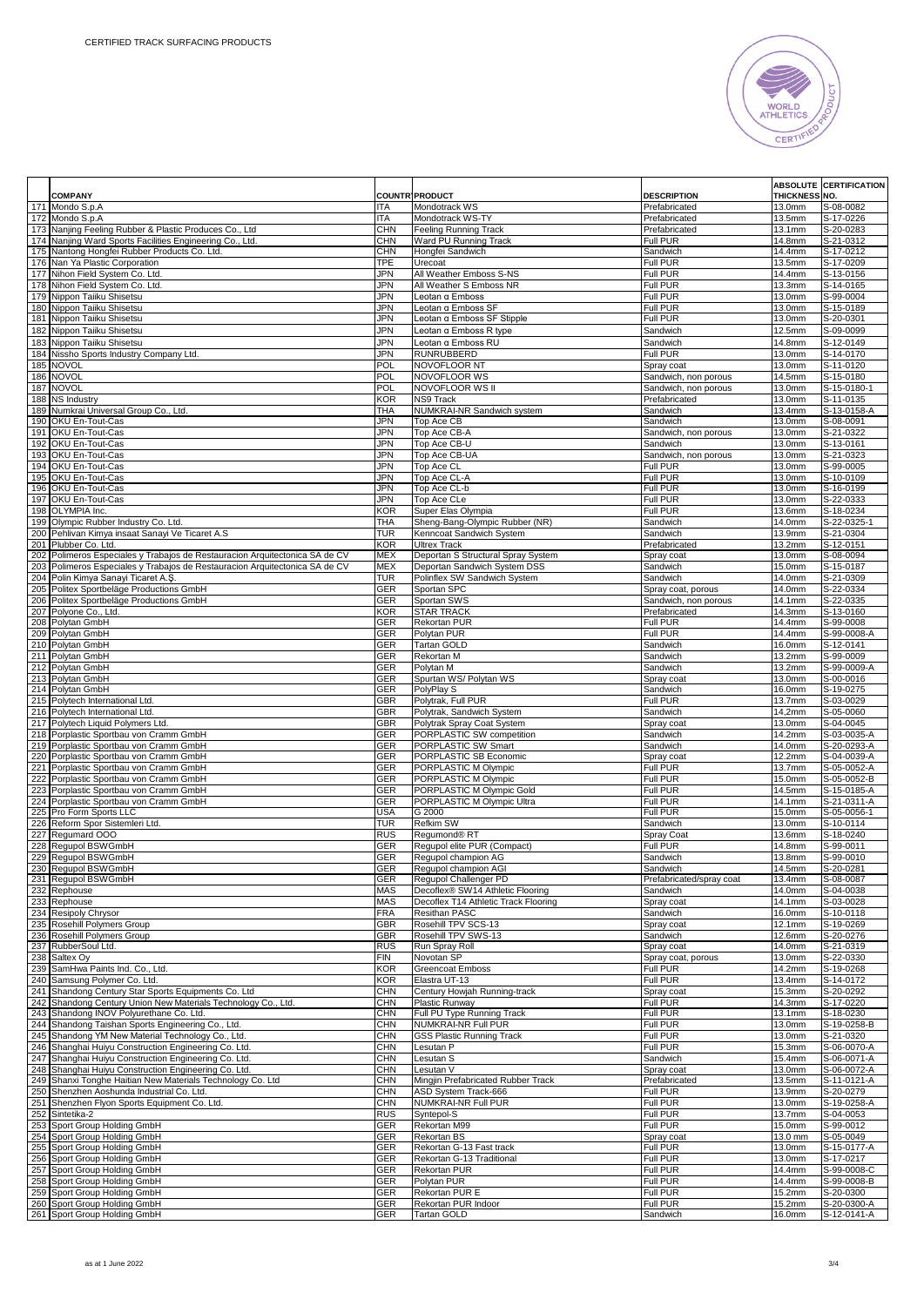

|            | <b>COMPANY</b>                                                                                       |                          | <b>COUNTR' PRODUCT</b>                            | <b>DESCRIPTION</b>                         | THICKNESS NO.        | <b>ABSOLUTE CERTIFICATION</b> |
|------------|------------------------------------------------------------------------------------------------------|--------------------------|---------------------------------------------------|--------------------------------------------|----------------------|-------------------------------|
|            | 171 Mondo S.p.A                                                                                      | <b>ITA</b>               | Mondotrack WS                                     | Prefabricated                              | 13.0mm               | S-08-0082                     |
|            | 172 Mondo S.p.A                                                                                      | ITA                      | Mondotrack WS-TY                                  | Prefabricated                              | 13.5mm               | S-17-0226                     |
| 173        | Nanjing Feeling Rubber & Plastic Produces Co., Ltd                                                   | <b>CHN</b>               | Feeling Running Track                             | Prefabricated                              | 13.1mm               | S-20-0283                     |
|            | 174 Nanjing Ward Sports Facilities Engineering Co., Ltd.                                             | <b>CHN</b>               | Ward PU Running Track                             | Full PUR                                   | 14.8mm               | S-21-0312                     |
| 175        | Nantong Hongfei Rubber Products Co. Ltd                                                              | CHN                      | Hongfei Sandwich                                  | Sandwich                                   | 14.4mm               | S-17-0212                     |
| 176<br>177 | Nan Ya Plastic Corporation<br>Nihon Field System Co. Ltd.                                            | TPE<br>JPN               | Urecoat<br>All Weather Emboss S-NS                | Full PUR<br>Full PUR                       | 13.5mm<br>14.4mm     | S-17-0209<br>S-13-0156        |
| 178        | Nihon Field System Co. Ltd.                                                                          | JPN                      | All Weather S Emboss NR                           | Full PUR                                   | $\overline{13.3}$ mm | S-14-0165                     |
| 179        | Nippon Taiiku Shisetsu                                                                               | JPN                      | Leotan α Emboss                                   | Full PUR                                   | 13.0mm               | S-99-0004                     |
| 180        | Nippon Taiiku Shisetsu                                                                               | JPN                      | Leotan α Emboss SF                                | Full PUR                                   | 13.0mm               | S-15-0189                     |
|            | 181 Nippon Taiiku Shisetsu                                                                           | JPN                      | Leotan α Emboss SF Stipple                        | Full PUR                                   | 13.0mm               | S-20-0301                     |
| 182        | Nippon Taiiku Shisetsu                                                                               | JPN                      | Leotan a Emboss R type                            | Sandwich                                   | 12.5mm               | S-09-0099                     |
|            | 183 Nippon Taiiku Shisetsu                                                                           | JPN                      | Leotan a Emboss RU                                | Sandwich                                   | 14.8mm               | S-12-0149                     |
| 184        | Nissho Sports Industry Company Ltd.                                                                  | JPN                      | <b>RUNRUBBERD</b>                                 | Full PUR                                   | 13.0mm               | S-14-0170                     |
| 185        | <b>NOVOL</b>                                                                                         | POL                      | NOVOFLOOR NT                                      | Spray coat                                 | 13.0mm               | S-11-0120                     |
| 186        | <b>NOVOL</b>                                                                                         | <b>POL</b>               | NOVOFLOOR WS                                      | Sandwich, non porous                       | 14.5mm               | S-15-0180                     |
| 187<br>188 | <b>NOVOL</b><br><b>NS Industry</b>                                                                   | POL<br><b>KOR</b>        | NOVOFLOOR WS II<br><b>NS9 Track</b>               | Sandwich, non porous<br>Prefabricated      | 13.0mm<br>13.0mm     | S-15-0180-1<br>S-11-0135      |
| 189        | Numkrai Universal Group Co., Ltd.                                                                    | THA                      | NUMKRAI-NR Sandwich system                        | Sandwich                                   | 13.4mm               | S-13-0158-A                   |
|            | 190 OKU En-Tout-Cas                                                                                  | JPN                      | Top Ace CB                                        | Sandwich                                   | 13.0mm               | S-08-0091                     |
|            | 191 OKU En-Tout-Cas                                                                                  | <b>JPN</b>               | Top Ace CB-A                                      | Sandwich, non porous                       | 13.0mm               | S-21-0322                     |
| 192        | OKU En-Tout-Cas                                                                                      | JPN                      | Top Ace CB-U                                      | Sandwich                                   | 13.0mm               | S-13-0161                     |
| 193        | OKU En-Tout-Cas                                                                                      | JPN                      | Top Ace CB-UA                                     | Sandwich, non porous                       | 13.0mm               | S-21-0323                     |
|            | 194 OKU En-Tout-Cas                                                                                  | JPN                      | Top Ace CL                                        | <b>Full PUR</b>                            | 13.0mm               | S-99-0005                     |
|            | 195 OKU En-Tout-Cas                                                                                  | JPN                      | Top Ace CL-A                                      | Full PUR                                   | 13.0mm               | S-10-0109                     |
|            | 196 OKU En-Tout-Cas<br>197 OKU En-Tout-Cas                                                           | JPN<br>JPN               | Top Ace CL-b<br>Top Ace CLe                       | Full PUR<br>Full PUR                       | 13.0mm<br>13.0mm     | S-16-0199<br>S-22-0333        |
|            | 198 OLYMPIA Inc.                                                                                     | <b>KOR</b>               | Super Elas Olympia                                | Full PUR                                   | 13.6mm               | $\overline{S}$ -18-0234       |
| 199        | Olympic Rubber Industry Co. Ltd.                                                                     | THA                      | Sheng-Bang-Olympic Rubber (NR)                    | Sandwich                                   | 14.0mm               | S-22-0325-1                   |
|            | 200 Pehlivan Kimya insaat Sanayi Ve Ticaret A.S                                                      | TUR                      | Kenncoat Sandwich System                          | Sandwich                                   | 13.9mm               | S-21-0304                     |
|            | 201 Plubber Co. Ltd.                                                                                 | <b>KOR</b>               | <b>Ultrex Track</b>                               | Prefabricated                              | 13.2mm               | S-12-0151                     |
|            | 202 Polimeros Especiales y Trabajos de Restauracion Arquitectonica SA de CV                          | <b>MEX</b>               | Deportan S Structural Spray System                | Spray coat                                 | 13.0mm               | S-08-0094                     |
| 203        | Polimeros Especiales y Trabajos de Restauracion Arquitectonica SA de CV                              | <b>MEX</b>               | Deportan Sandwich System DSS                      | Sandwich                                   | 15.0mm               | S-15-0187                     |
|            | 204 Polin Kimya Sanayi Ticaret A.Ş<br>205 Politex Sportbeläge Productions GmbH                       | TUR                      | Polinflex SW Sandwich System                      | Sandwich                                   | 14.0mm               | S-21-0309                     |
| 206        | Politex Sportbeläge Productions GmbH                                                                 | GER<br>GER               | Sportan SPC<br>Sportan SWS                        | Spray coat, porous<br>Sandwich, non porous | 14.0mm<br>14.1mm     | S-22-0334<br>S-22-0335        |
| 207        | Polyone Co., Ltd.                                                                                    | <b>KOR</b>               | <b>STAR TRACK</b>                                 | Prefabricated                              | 14.3mm               | S-13-0160                     |
| 208        | Polytan GmbH                                                                                         | GER                      | <b>Rekortan PUR</b>                               | Full PUR                                   | 14.4mm               | $5 - 99 - 0008$               |
| 209        | Polytan GmbH                                                                                         | GER                      | Polytan PUR                                       | Full PUR                                   | 14.4mm               | S-99-0008-A                   |
|            | 210 Polytan GmbH                                                                                     | GER                      | <b>Tartan GOLD</b>                                | Sandwich                                   | 16.0mm               | S-12-0141                     |
|            | 211 Polytan GmbH                                                                                     | GER                      | Rekortan M                                        | Sandwich                                   | 13.2mm               | S-99-0009                     |
| 212        | Polytan GmbH                                                                                         | GER                      | Polytan M                                         | Sandwich                                   | 13.2mm               | S-99-0009-A                   |
| 213<br>214 | Polytan GmbH<br>Polytan GmbH                                                                         | GER<br>GER               | Spurtan WS/ Polytan WS                            | Spray coat                                 | 13.0mm               | S-00-0016                     |
|            | 215 Polytech International Ltd                                                                       | GBR                      | PolyPlay S<br>Polytrak, Full PUR                  | Sandwich<br>Full PUR                       | 16.0mm<br>13.7mm     | S-19-0275<br>S-03-0029        |
|            | 216 Polytech International Ltd                                                                       | <b>GBR</b>               | Polytrak, Sandwich System                         | Sandwich                                   | 14,2mm               | S-05-0060                     |
|            | 217 Polytech Liquid Polymers Ltd.                                                                    | GBR                      | Polytrak Spray Coat System                        | Spray coat                                 | 13.0mm               | S-04-0045                     |
|            | 218 Porplastic Sportbau von Cramm GmbH                                                               | GER                      | PORPLASTIC SW competition                         | Sandwich                                   | 14.2mm               | S-03-0035-A                   |
| 219        | Porplastic Sportbau von Cramm GmbH                                                                   | GER                      | PORPLASTIC SW Smart                               | Sandwich                                   | 14.0mm               | S-20-0293-A                   |
|            | 220 Porplastic Sportbau von Cramm GmbH                                                               | GER                      | PORPLASTIC SB Economic                            | Spray coat                                 | 12.2mm               | S-04-0039-A                   |
|            | 221 Porplastic Sportbau von Cramm GmbH                                                               | GER                      | PORPLASTIC M Olympic                              | Full PUR                                   | 13.7mm               | S-05-0052-A                   |
| 222<br>223 | Porplastic Sportbau von Cramm GmbH<br>Porplastic Sportbau von Cramm GmbH                             | GER<br>GER               | PORPLASTIC M Olympic<br>PORPLASTIC M Olympic Gold | Full PUR<br>Full PUR                       | 15.0mm<br>14.5mm     | S-05-0052-B<br>$S-15-0185-A$  |
| 224        | Porplastic Sportbau von Cramm GmbH                                                                   | GER                      | PORPLASTIC M Olympic Ultra                        | Full PUR                                   | 14.1mm               | S-21-0311-A                   |
|            | 225 Pro Form Sports LLC                                                                              | USA                      | G 2000                                            | Full PUR                                   | 15.0mm               | S-05-0056-1                   |
|            | 226 Reform Spor Sistemleri Ltd.                                                                      | TUR                      | <b>Refkim SW</b>                                  | Sandwich                                   | 13.0mm               | S-10-0114                     |
| 227        | Regumard OOO                                                                                         | <b>RUS</b>               | Regumond® RT                                      | Spray Coat                                 | 13.6mm               | S-18-0240                     |
| 228        | Regupol BSWGmbH                                                                                      | GER                      | Regupol elite PUR (Compact)                       | Full PUR                                   | 14.8mm               | S-99-0011                     |
| 229        | Regupol BSWGmbH                                                                                      | GER                      | Regupol champion AG                               | Sandwich                                   | 13.8mm               | S-99-0010                     |
|            | 230 Requpol BSWGmbH<br>231 Regupol BSWGmbH                                                           | GER<br><b>GER</b>        | Requpol champion AGI<br>Requpol Challenger PD     | Sandwich<br>Prefabricated/spray coat       | 14.5mm<br>13.4mm     | S-20-0281<br>S-08-0087        |
|            | 232 Rephouse                                                                                         | <b>MAS</b>               | Decoflex® SW14 Athletic Flooring                  | Sandwich                                   | 14.0mm               | S-04-0038                     |
|            | 233 Rephouse                                                                                         | <b>MAS</b>               | Decoflex T14 Athletic Track Flooring              | Spray coat                                 | 14.1mm               | S-03-0028                     |
|            | 234 Resipoly Chrysor                                                                                 | <b>FRA</b>               | Resithan PASC                                     | Sandwich                                   | 16.0mm               | S-10-0118                     |
|            | 235 Rosehill Polymers Group                                                                          | GBR                      | Rosehill TPV SCS-13                               | Spray coat                                 | 12.1mm               | S-19-0269                     |
|            | 236 Rosehill Polymers Group                                                                          | <b>GBR</b>               | Rosehill TPV SWS-13                               | Sandwich                                   | 12.6mm               | S-20-0276                     |
|            | 237 RubberSoul Ltd.                                                                                  | <b>RUS</b>               | Run Spray Roll                                    | Spray coat                                 | 14.0mm               | S-21-0319                     |
| 238<br>239 | Saltex Oy<br>SamHwa Paints Ind. Co., Ltd.                                                            | <b>FIN</b><br><b>KOR</b> | Novotan SP<br>Greencoat Emboss                    | Spray coat, porous<br>Full PUR             | 13.0mm<br>14.2mm     | S-22-0330<br>S-19-0268        |
|            | 240 Samsung Polymer Co. Ltd.                                                                         | <b>KOR</b>               | Elastra UT-13                                     | Full PUR                                   | 13.4mm               | S-14-0172                     |
|            | 241 Shandong Century Star Sports Equipments Co. Ltd                                                  | <b>CHN</b>               | Century Howjah Running-track                      | Spray coat                                 | 15.3mm               | S-20-0292                     |
| 242        | Shandong Century Union New Materials Technology Co., Ltd.                                            | <b>CHN</b>               | Plastic Runway                                    | Full PUR                                   | 14.3mm               | S-17-0220                     |
| 243        | Shandong INOV Polyurethane Co. Ltd.                                                                  | <b>CHN</b>               | Full PU Type Running Track                        | Full PUR                                   | 13.1mm               | S-18-0230                     |
| 244        | Shandong Taishan Sports Engineering Co., Ltd.                                                        | <b>CHN</b>               | NUMKRAI-NR Full PUR                               | Full PUR                                   | 13.0mm               | S-19-0258-B                   |
|            | 245 Shandong YM New Material Technology Co., Ltd.                                                    | <b>CHN</b>               | <b>GSS Plastic Running Track</b>                  | <b>Full PUR</b>                            | 13.0mm               | S-21-0320                     |
| 246        | Shanghai Huiyu Construction Engineering Co. Ltd.                                                     | <b>CHN</b>               | Lesutan P                                         | Full PUR                                   | 15.3mm               | S-06-0070-A                   |
| 247<br>248 | Shanghai Huiyu Construction Engineering Co. Ltd.<br>Shanghai Huiyu Construction Engineering Co. Ltd. | <b>CHN</b><br><b>CHN</b> | Lesutan S<br>Lesutan V                            | Sandwich<br>Spray coat                     | 15.4mm<br>13.0mm     | S-06-0071-A<br>S-06-0072-A    |
| 249        | Shanxi Tonghe Haitian New Materials Technology Co. Ltd                                               | <b>CHN</b>               | Mingjin Prefabricated Rubber Track                | Prefabricated                              | 13.5mm               | S-11-0121-A                   |
| 250        | Shenzhen Aoshunda Industrial Co. Ltd.                                                                | CHN                      | ASD System Track-666                              | Full PUR                                   | 13.9mm               | S-20-0279                     |
| 251        | Shenzhen Flyon Sports Equipment Co. Ltd.                                                             | <b>CHN</b>               | <b>NUMKRAI-NR Full PUR</b>                        | Full PUR                                   | 13.0mm               | S-19-0258-A                   |
| 252        | Sintetika-2                                                                                          | <b>RUS</b>               | Syntepol-S                                        | <b>Full PUR</b>                            | 13.7mm               | S-04-0053                     |
| 253        | Sport Group Holding GmbH                                                                             | <b>GER</b>               | Rekortan M99                                      | Full PUR                                   | 15.0mm               | S-99-0012                     |
| 254        | Sport Group Holding GmbH                                                                             | GER                      | Rekortan BS                                       | Spray coat                                 | 13.0 mm              | S-05-0049                     |
|            | 255 Sport Group Holding GmbH                                                                         | GER                      | Rekortan G-13 Fast track                          | Full PUR                                   | 13.0mm               | S-15-0177-A                   |
| 256        | Sport Group Holding GmbH<br>Sport Group Holding GmbH                                                 | GER                      | Rekortan G-13 Traditional<br><b>Rekortan PUR</b>  | Full PUR<br>Full PUR                       | 13.0mm<br>14.4mm     | S-17-0217<br>S-99-0008-C      |
| 257<br>258 | Sport Group Holding GmbH                                                                             | GER<br>GER               | Polytan PUR                                       | Full PUR                                   | 14.4mm               | S-99-0008-B                   |
| 259        | Sport Group Holding GmbH                                                                             | GER                      | Rekortan PUR E                                    | Full PUR                                   | 15.2mm               | S-20-0300                     |
|            | 260 Sport Group Holding GmbH                                                                         | GER                      | Rekortan PUR Indoor                               | Full PUR                                   | 15.2mm               | S-20-0300-A                   |
|            | 261 Sport Group Holding GmbH                                                                         | GER                      | <b>Tartan GOLD</b>                                | Sandwich                                   | 16.0mm               | S-12-0141-A                   |